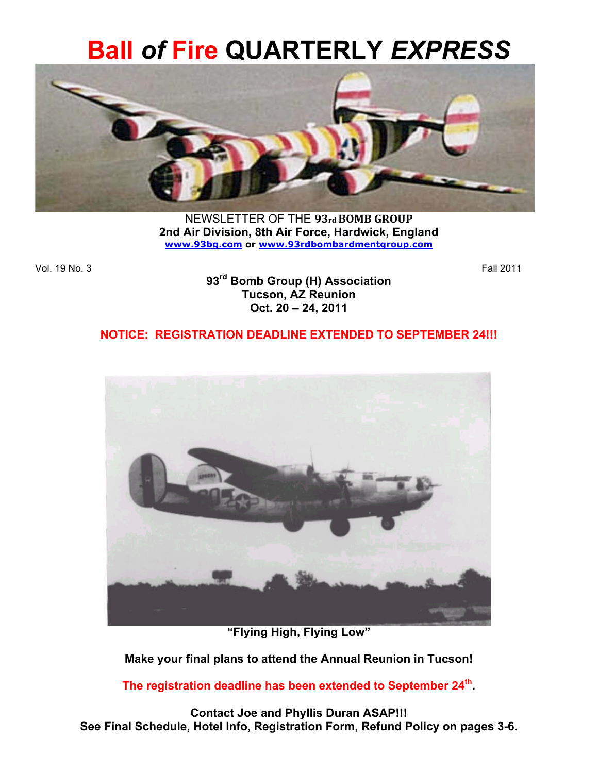# **Ball** *of* **Fire QUARTERLY** *EXPRESS*



NEWSLETTER OF THE 93rd BOMB GROUP **2nd Air Division, 8th Air Force, Hardwick, England www.93bg.com or www.93rdbombardmentgroup.com** 

Vol. 19 No. 3 Fall 2011

**93rd Bomb Group (H) Association Tucson, AZ Reunion Oct. 20 – 24, 2011**

## **NOTICE: REGISTRATION DEADLINE EXTENDED TO SEPTEMBER 24!!!**



**"Flying High, Flying Low"**

**Make your final plans to attend the Annual Reunion in Tucson!** 

**The registration deadline has been extended to September 24th.** 

**Contact Joe and Phyllis Duran ASAP!!! See Final Schedule, Hotel Info, Registration Form, Refund Policy on pages 3-6.**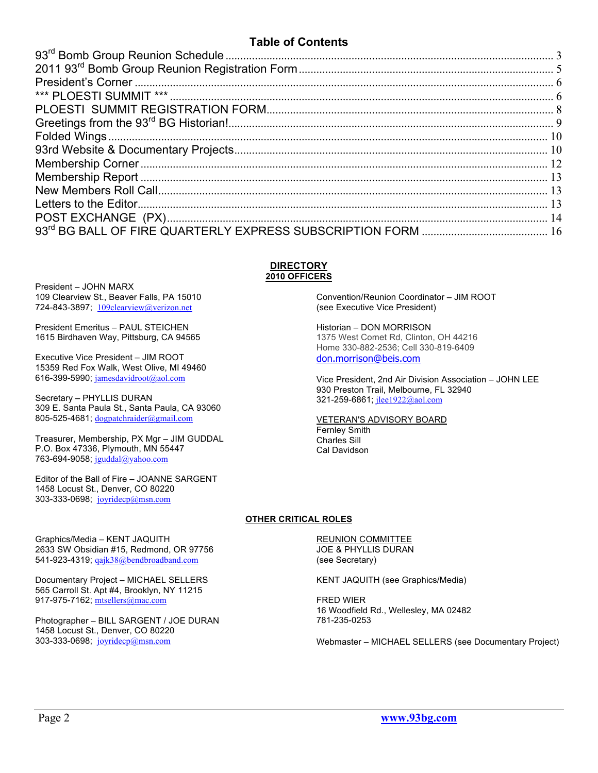## **Table of Contents**

#### **DIRECTORY 2010 OFFICERS**

President – JOHN MARX 109 Clearview St., Beaver Falls, PA 15010 724-843-3897; 109clearview@verizon.net

President Emeritus – PAUL STEICHEN 1615 Birdhaven Way, Pittsburg, CA 94565

Executive Vice President – JIM ROOT 15359 Red Fox Walk, West Olive, MI 49460 616-399-5990; jamesdavidroot@aol.com

Secretary – PHYLLIS DURAN 309 E. Santa Paula St., Santa Paula, CA 93060 805-525-4681; dogpatchraider@gmail.com

Treasurer, Membership, PX Mgr – JIM GUDDAL P.O. Box 47336, Plymouth, MN 55447 763-694-9058; jguddal@yahoo.com

Editor of the Ball of Fire – JOANNE SARGENT 1458 Locust St., Denver, CO 80220 303-333-0698; joyridecp@msn.com

2633 SW Obsidian #15, Redmond, OR 97756 541-923-4319; qajk38@bendbroadband.com

Documentary Project – MICHAEL SELLERS 565 Carroll St. Apt #4, Brooklyn, NY 11215

Photographer – BILL SARGENT / JOE DURAN

Graphics/Media – KENT JAQUITH

917-975-7162; mtsellers@mac.com

1458 Locust St., Denver, CO 80220 303-333-0698; joyridecp@msn.com

Convention/Reunion Coordinator – JIM ROOT (see Executive Vice President)

Historian – DON MORRISON 1375 West Comet Rd, Clinton, OH 44216 Home 330-882-2536; Cell 330-819-6409 don.morrison@beis.com

Vice President, 2nd Air Division Association – JOHN LEE 930 Preston Trail, Melbourne, FL 32940 321-259-6861; jlee1922@aol.com

VETERAN'S ADVISORY BOARD Fernley Smith

Charles Sill Cal Davidson

#### **OTHER CRITICAL ROLES**

REUNION COMMITTEE JOE & PHYLLIS DURAN (see Secretary)

KENT JAQUITH (see Graphics/Media)

FRED WIER 16 Woodfield Rd., Wellesley, MA 02482 781-235-0253

Webmaster – MICHAEL SELLERS (see Documentary Project)

Page 2 **www.93bg.com**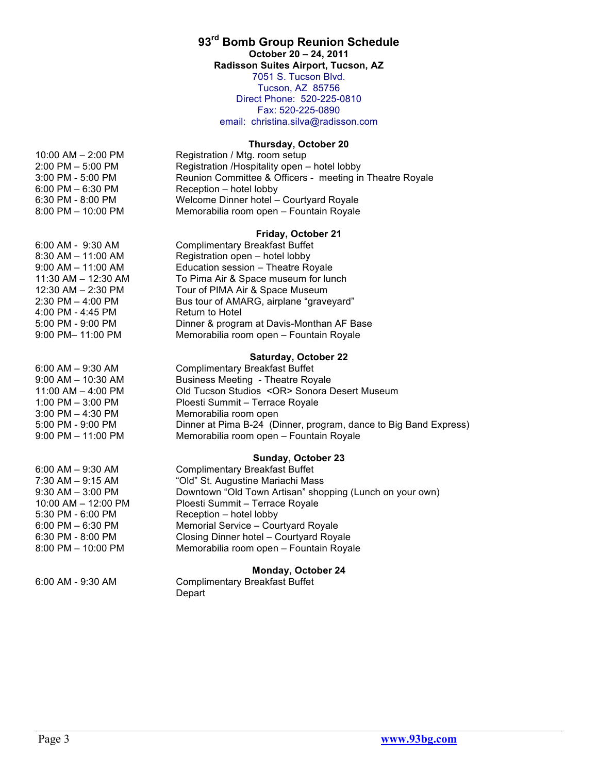## **93rd Bomb Group Reunion Schedule**

**October 20 – 24, 2011**

**Radisson Suites Airport, Tucson, AZ**

7051 S. Tucson Blvd. Tucson, AZ 85756 Direct Phone: 520-225-0810 Fax: 520-225-0890 email: christina.silva@radisson.com

#### **Thursday, October 20**

| $10:00$ AM $- 2:00$ PM | Registration / Mtg. room setup                           |
|------------------------|----------------------------------------------------------|
| $2:00$ PM $-5:00$ PM   | Registration /Hospitality open - hotel lobby             |
| 3:00 PM - 5:00 PM      | Reunion Committee & Officers - meeting in Theatre Royale |
| $6:00$ PM $-6:30$ PM   | Reception – hotel lobby                                  |
| 6:30 PM - 8:00 PM      | Welcome Dinner hotel - Courtyard Royale                  |
| $8:00$ PM $- 10:00$ PM | Memorabilia room open - Fountain Royale                  |

#### **Friday, October 21**

| 6:00 AM - 9:30 AM      | <b>Complimentary Breakfast Buffet</b>     |
|------------------------|-------------------------------------------|
| 8:30 AM – 11:00 AM     | Registration open - hotel lobby           |
| $9:00$ AM $-$ 11:00 AM | Education session - Theatre Royale        |
| 11:30 AM - 12:30 AM    | To Pima Air & Space museum for lunch      |
| 12:30 AM - 2:30 PM     | Tour of PIMA Air & Space Museum           |
| 2:30 PM – 4:00 PM      | Bus tour of AMARG, airplane "graveyard"   |
| 4:00 PM - 4:45 PM      | <b>Return to Hotel</b>                    |
| 5:00 PM - 9:00 PM      | Dinner & program at Davis-Monthan AF Base |
| 9:00 PM- 11:00 PM      | Memorabilia room open - Fountain Royale   |
|                        |                                           |

#### **Saturday, October 22**

| 6:00 AM – 9:30 AM      | <b>Complimentary Breakfast Buffet</b>                            |
|------------------------|------------------------------------------------------------------|
| $9:00$ AM $-$ 10:30 AM | <b>Business Meeting - Theatre Royale</b>                         |
| 11:00 AM - 4:00 PM     | Old Tucson Studios < OR > Sonora Desert Museum                   |
| $1:00$ PM $-$ 3:00 PM  | Ploesti Summit – Terrace Royale                                  |
| 3:00 PM – 4:30 PM      | Memorabilia room open                                            |
| 5:00 PM - 9:00 PM      | Dinner at Pima B-24 (Dinner, program, dance to Big Band Express) |
| 9:00 PM - 11:00 PM     | Memorabilia room open - Fountain Royale                          |
|                        |                                                                  |

#### **Sunday, October 23**

| 6:00 AM – 9:30 AM   | <b>Complimentary Breakfast Buffet</b>                    |
|---------------------|----------------------------------------------------------|
| 7:30 AM – 9:15 AM   | "Old" St. Augustine Mariachi Mass                        |
| 9:30 AM – 3:00 PM   | Downtown "Old Town Artisan" shopping (Lunch on your own) |
| 10:00 AM - 12:00 PM | Ploesti Summit - Terrace Royale                          |
| 5:30 PM - 6:00 PM   | Reception – hotel lobby                                  |
| 6:00 PM – 6:30 PM   | Memorial Service - Courtyard Royale                      |
| 6:30 PM - 8:00 PM   | Closing Dinner hotel - Courtyard Royale                  |
| 8:00 PM - 10:00 PM  | Memorabilia room open - Fountain Royale                  |
|                     |                                                          |

#### **Monday, October 24**

6:00 AM - 9:30 AM Complimentary Breakfast Buffet Depart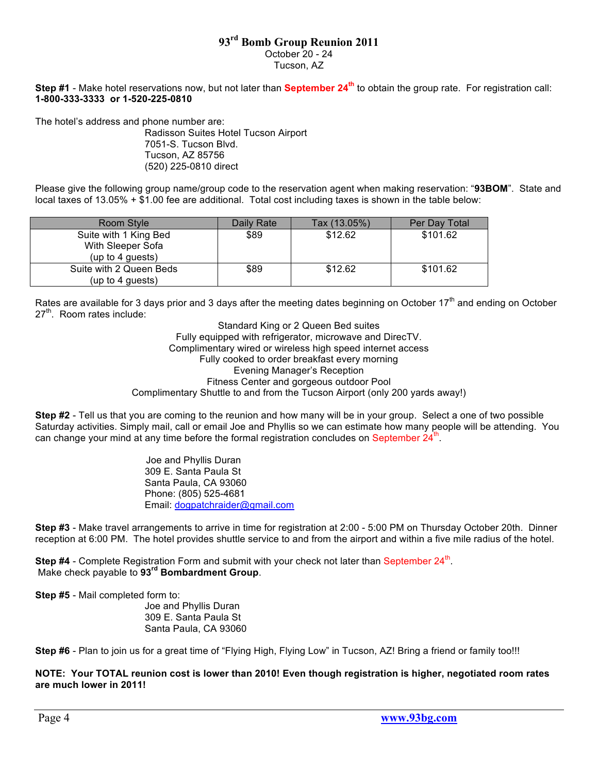## **93rd Bomb Group Reunion 2011**

October 20 - 24

Tucson, AZ

**Step #1** - Make hotel reservations now, but not later than **September 24th** to obtain the group rate. For registration call: **1-800-333-3333 or 1-520-225-0810**

The hotel's address and phone number are:

Radisson Suites Hotel Tucson Airport 7051-S. Tucson Blvd. Tucson, AZ 85756 (520) 225-0810 direct

Please give the following group name/group code to the reservation agent when making reservation: "**93BOM**". State and local taxes of 13.05% + \$1.00 fee are additional. Total cost including taxes is shown in the table below:

| Room Style                                                     | Daily Rate | Tax (13.05%) | Per Day Total |
|----------------------------------------------------------------|------------|--------------|---------------|
| Suite with 1 King Bed<br>With Sleeper Sofa<br>(up to 4 guests) | \$89       | \$12.62      | \$101.62      |
| Suite with 2 Queen Beds<br>(up to 4 guests)                    | \$89       | \$12.62      | \$101.62      |

Rates are available for 3 days prior and 3 days after the meeting dates beginning on October  $17<sup>th</sup>$  and ending on October  $27<sup>th</sup>$ . Room rates include:

Standard King or 2 Queen Bed suites Fully equipped with refrigerator, microwave and DirecTV. Complimentary wired or wireless high speed internet access Fully cooked to order breakfast every morning Evening Manager's Reception Fitness Center and gorgeous outdoor Pool Complimentary Shuttle to and from the Tucson Airport (only 200 yards away!)

**Step #2** - Tell us that you are coming to the reunion and how many will be in your group. Select a one of two possible Saturday activities. Simply mail, call or email Joe and Phyllis so we can estimate how many people will be attending. You can change your mind at any time before the formal registration concludes on September 24<sup>th</sup>.

> Joe and Phyllis Duran 309 E. Santa Paula St Santa Paula, CA 93060 Phone: (805) 525-4681 Email: dogpatchraider@gmail.com

**Step #3** - Make travel arrangements to arrive in time for registration at 2:00 - 5:00 PM on Thursday October 20th. Dinner reception at 6:00 PM. The hotel provides shuttle service to and from the airport and within a five mile radius of the hotel.

**Step #4** - Complete Registration Form and submit with your check not later than September 24<sup>th</sup>. Make check payable to **93rd Bombardment Group**.

**Step #5** - Mail completed form to:

Joe and Phyllis Duran 309 E. Santa Paula St Santa Paula, CA 93060

**Step #6** - Plan to join us for a great time of "Flying High, Flying Low" in Tucson, AZ! Bring a friend or family too!!!

**NOTE: Your TOTAL reunion cost is lower than 2010! Even though registration is higher, negotiated room rates are much lower in 2011!**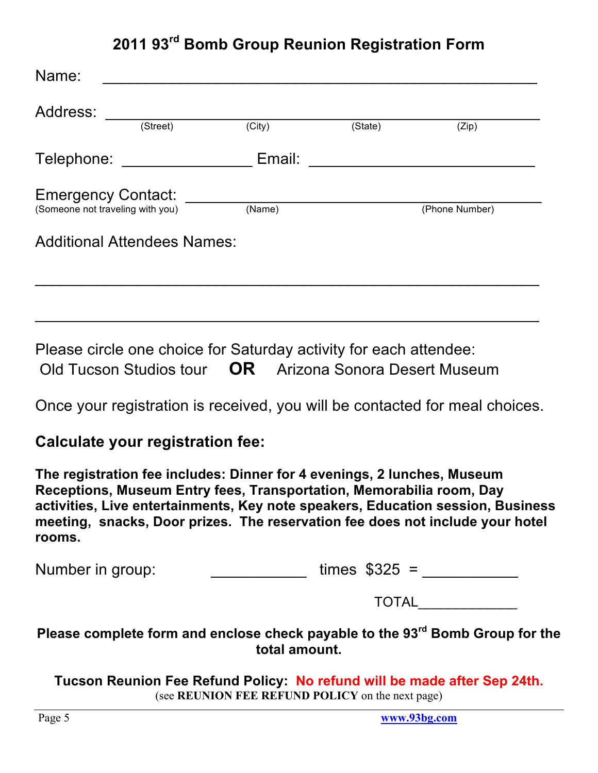## **2011 93rd Bomb Group Reunion Registration Form**

| Name:<br>Address: |                                                               |        |         |                |
|-------------------|---------------------------------------------------------------|--------|---------|----------------|
|                   | (Street)                                                      | (City) | (State) | (Zip)          |
| Telephone:        |                                                               | Email: |         |                |
|                   | <b>Emergency Contact:</b><br>(Someone not traveling with you) | (Name) |         | (Phone Number) |
|                   | <b>Additional Attendees Names:</b>                            |        |         |                |
|                   |                                                               |        |         |                |

Please circle one choice for Saturday activity for each attendee: Old Tucson Studios tour **OR** Arizona Sonora Desert Museum

Once your registration is received, you will be contacted for meal choices.

 $\mathcal{L}_\text{G}$  , and the contribution of the contribution of the contribution of the contribution of the contribution of the contribution of the contribution of the contribution of the contribution of the contribution of t

## **Calculate your registration fee:**

**The registration fee includes: Dinner for 4 evenings, 2 lunches, Museum Receptions, Museum Entry fees, Transportation, Memorabilia room, Day activities, Live entertainments, Key note speakers, Education session, Business meeting, snacks, Door prizes. The reservation fee does not include your hotel rooms.**

| Number in group: | times $$325 =$ |
|------------------|----------------|
|                  | <b>TOTAL</b>   |

**Please complete form and enclose check payable to the 93rd Bomb Group for the total amount.**

**Tucson Reunion Fee Refund Policy: No refund will be made after Sep 24th.** (see **REUNION FEE REFUND POLICY** on the next page)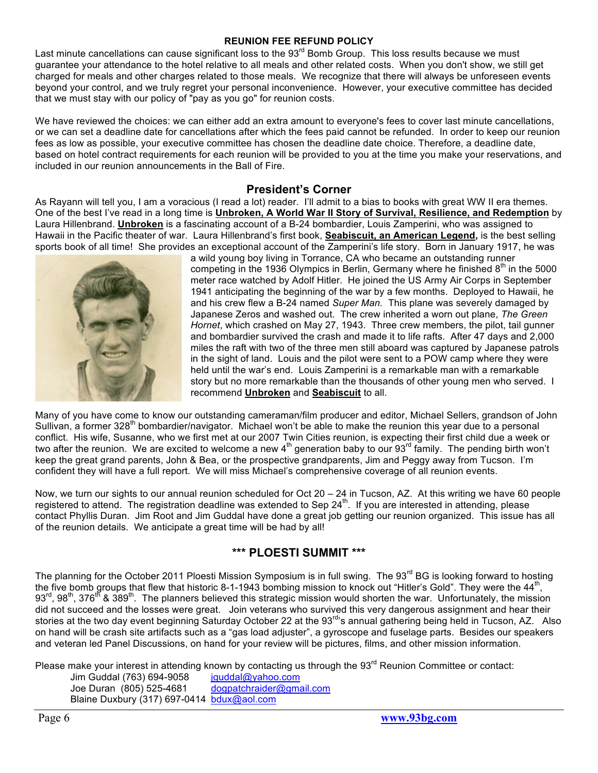#### **REUNION FEE REFUND POLICY**

Last minute cancellations can cause significant loss to the 93<sup>rd</sup> Bomb Group. This loss results because we must guarantee your attendance to the hotel relative to all meals and other related costs. When you don't show, we still get charged for meals and other charges related to those meals. We recognize that there will always be unforeseen events beyond your control, and we truly regret your personal inconvenience. However, your executive committee has decided that we must stay with our policy of "pay as you go" for reunion costs.

We have reviewed the choices: we can either add an extra amount to everyone's fees to cover last minute cancellations, or we can set a deadline date for cancellations after which the fees paid cannot be refunded. In order to keep our reunion fees as low as possible, your executive committee has chosen the deadline date choice. Therefore, a deadline date, based on hotel contract requirements for each reunion will be provided to you at the time you make your reservations, and included in our reunion announcements in the Ball of Fire.

#### **President's Corner**

As Rayann will tell you, I am a voracious (I read a lot) reader. I'll admit to a bias to books with great WW II era themes. One of the best I've read in a long time is **Unbroken, A World War II Story of Survival, Resilience, and Redemption** by Laura Hillenbrand. **Unbroken** is a fascinating account of a B-24 bombardier, Louis Zamperini, who was assigned to Hawaii in the Pacific theater of war. Laura Hillenbrand's first book, **Seabiscuit, an American Legend,** is the best selling sports book of all time! She provides an exceptional account of the Zamperini's life story. Born in January 1917, he was



a wild young boy living in Torrance, CA who became an outstanding runner competing in the 1936 Olympics in Berlin, Germany where he finished  $8<sup>th</sup>$  in the 5000 meter race watched by Adolf Hitler. He joined the US Army Air Corps in September 1941 anticipating the beginning of the war by a few months. Deployed to Hawaii, he and his crew flew a B-24 named *Super Man.* This plane was severely damaged by Japanese Zeros and washed out. The crew inherited a worn out plane, *The Green Hornet*, which crashed on May 27, 1943. Three crew members, the pilot, tail gunner and bombardier survived the crash and made it to life rafts. After 47 days and 2,000 miles the raft with two of the three men still aboard was captured by Japanese patrols in the sight of land. Louis and the pilot were sent to a POW camp where they were held until the war's end. Louis Zamperini is a remarkable man with a remarkable story but no more remarkable than the thousands of other young men who served. I recommend **Unbroken** and **Seabiscuit** to all.

Many of you have come to know our outstanding cameraman/film producer and editor, Michael Sellers, grandson of John Sullivan, a former 328<sup>th</sup> bombardier/navigator. Michael won't be able to make the reunion this year due to a personal conflict. His wife, Susanne, who we first met at our 2007 Twin Cities reunion, is expecting their first child due a week or two after the reunion. We are excited to welcome a new 4th generation baby to our 93rd family. The pending birth won't keep the great grand parents, John & Bea, or the prospective grandparents, Jim and Peggy away from Tucson. I'm confident they will have a full report. We will miss Michael's comprehensive coverage of all reunion events.

Now, we turn our sights to our annual reunion scheduled for Oct 20 – 24 in Tucson, AZ. At this writing we have 60 people registered to attend. The registration deadline was extended to Sep 24<sup>th</sup>. If you are interested in attending, please contact Phyllis Duran. Jim Root and Jim Guddal have done a great job getting our reunion organized. This issue has all of the reunion details. We anticipate a great time will be had by all!

#### **\*\*\* PLOESTI SUMMIT \*\*\***

The planning for the October 2011 Ploesti Mission Symposium is in full swing. The 93 $^{rd}$  BG is looking forward to hosting the five bomb groups that flew that historic 8-1-1943 bombing mission to knock out "Hitler's Gold". They were the 44<sup>th</sup>  $93^{\text{rd}}$ ,  $98^{\text{th}}$ ,  $376^{\text{th}}$  &  $389^{\text{th}}$ . The planners believed this strategic mission would shorten the war. Unfortunately, the mission did not succeed and the losses were great. Join veterans who survived this very dangerous assignment and hear their stories at the two day event beginning Saturday October 22 at the 93<sup>rd</sup>'s annual gathering being held in Tucson, AZ. Also on hand will be crash site artifacts such as a "gas load adjuster", a gyroscope and fuselage parts. Besides our speakers and veteran led Panel Discussions, on hand for your review will be pictures, films, and other mission information.

Please make your interest in attending known by contacting us through the  $93<sup>rd</sup>$  Reunion Committee or contact:

Jim Guddal (763) 694-9058 jguddal@yahoo.com Joe Duran (805) 525-4681 dogpatchraider@gmail.com Blaine Duxbury (317) 697-0414 bdux@aol.com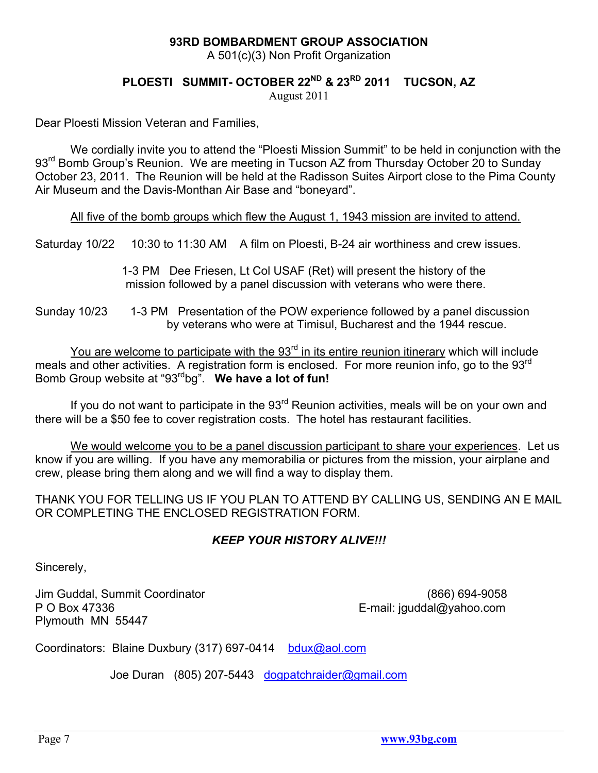## **93RD BOMBARDMENT GROUP ASSOCIATION**

A 501(c)(3) Non Profit Organization

## **PLOESTI SUMMIT- OCTOBER 22ND & 23RD 2011 TUCSON, AZ**

August 2011

Dear Ploesti Mission Veteran and Families,

We cordially invite you to attend the "Ploesti Mission Summit" to be held in conjunction with the 93<sup>rd</sup> Bomb Group's Reunion. We are meeting in Tucson AZ from Thursday October 20 to Sunday October 23, 2011. The Reunion will be held at the Radisson Suites Airport close to the Pima County Air Museum and the Davis-Monthan Air Base and "boneyard".

All five of the bomb groups which flew the August 1, 1943 mission are invited to attend.

Saturday 10/22 10:30 to 11:30 AM A film on Ploesti, B-24 air worthiness and crew issues.

 1-3 PM Dee Friesen, Lt Col USAF (Ret) will present the history of the mission followed by a panel discussion with veterans who were there.

Sunday 10/23 1-3 PM Presentation of the POW experience followed by a panel discussion by veterans who were at Timisul, Bucharest and the 1944 rescue.

You are welcome to participate with the 93<sup>rd</sup> in its entire reunion itinerary which will include meals and other activities. A registration form is enclosed. For more reunion info, go to the 93<sup>rd</sup> Bomb Group website at "93rdbg". **We have a lot of fun!** 

If you do not want to participate in the  $93<sup>rd</sup>$  Reunion activities, meals will be on your own and there will be a \$50 fee to cover registration costs. The hotel has restaurant facilities.

We would welcome you to be a panel discussion participant to share your experiences. Let us know if you are willing. If you have any memorabilia or pictures from the mission, your airplane and crew, please bring them along and we will find a way to display them.

THANK YOU FOR TELLING US IF YOU PLAN TO ATTEND BY CALLING US, SENDING AN E MAIL OR COMPLETING THE ENCLOSED REGISTRATION FORM.

## *KEEP YOUR HISTORY ALIVE!!!*

Sincerely,

Jim Guddal, Summit Coordinator (866) 694-9058 P O Box 47336 E-mail: jguddal@yahoo.com Plymouth MN 55447

Coordinators: Blaine Duxbury (317) 697-0414 bdux@aol.com

Joe Duran (805) 207-5443 dogpatchraider@gmail.com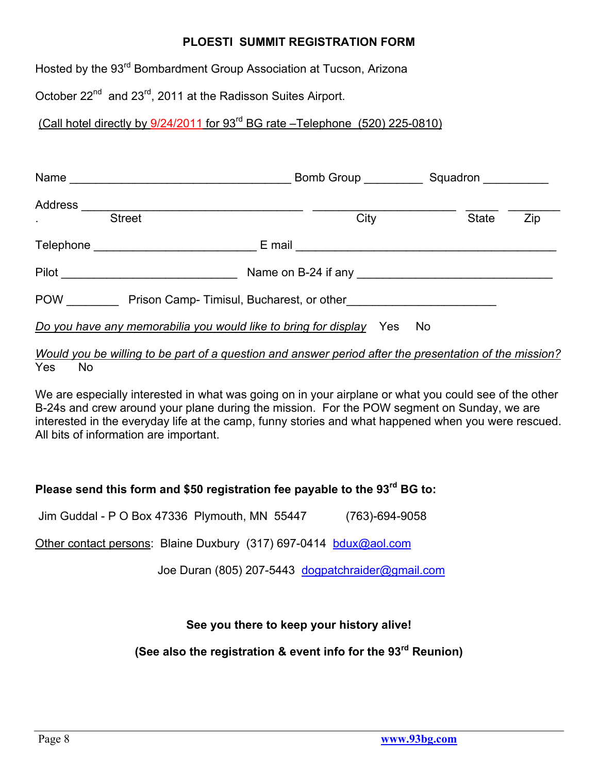## **PLOESTI SUMMIT REGISTRATION FORM**

Hosted by the 93<sup>rd</sup> Bombardment Group Association at Tucson, Arizona

October 22<sup>nd</sup> and 23<sup>rd</sup>, 2011 at the Radisson Suites Airport.

(Call hotel directly by 9/24/2011 for 93rd BG rate –Telephone (520) 225-0810)

| <b>Street</b>                                                       | City | <b>State</b> | Zip |
|---------------------------------------------------------------------|------|--------------|-----|
|                                                                     |      |              |     |
| Pilot <u>_________________________</u>                              |      |              |     |
| POW Prison Camp-Timisul, Bucharest, or other                        |      |              |     |
| Do you have any memorabilia you would like to bring for display Yes |      | No.          |     |

## *Would you be willing to be part of a question and answer period after the presentation of the mission?*  Yes No

We are especially interested in what was going on in your airplane or what you could see of the other B-24s and crew around your plane during the mission. For the POW segment on Sunday, we are interested in the everyday life at the camp, funny stories and what happened when you were rescued. All bits of information are important.

## **Please send this form and \$50 registration fee payable to the 93rd BG to:**

Jim Guddal - P O Box 47336 Plymouth, MN 55447 (763)-694-9058

Other contact persons: Blaine Duxbury (317) 697-0414 bdux@aol.com

Joe Duran (805) 207-5443 dogpatchraider@gmail.com

## **See you there to keep your history alive!**

**(See also the registration & event info for the 93rd Reunion)**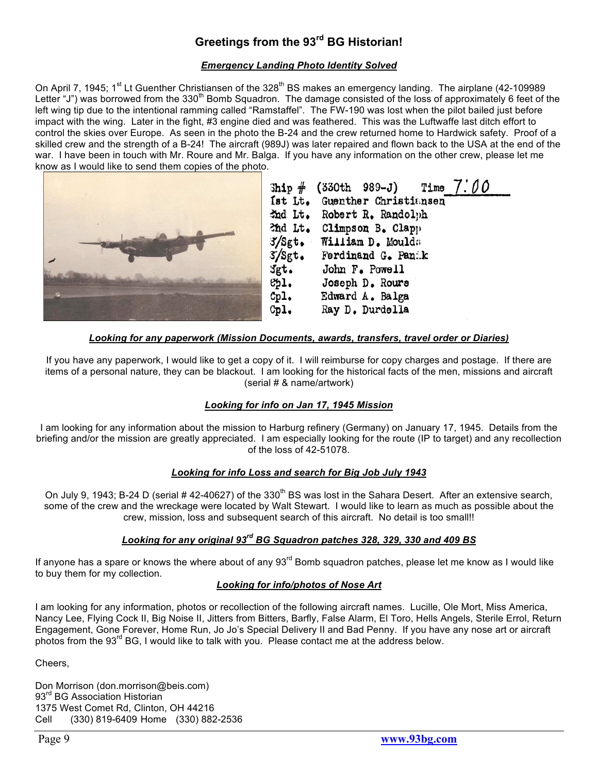## **Greetings from the 93rd BG Historian!**

#### *Emergency Landing Photo Identity Solved*

On April 7, 1945; 1<sup>st</sup> Lt Guenther Christiansen of the 328<sup>th</sup> BS makes an emergency landing. The airplane (42-109989 Letter "J") was borrowed from the 330<sup>th</sup> Bomb Squadron. The damage consisted of the loss of approximately 6 feet of the left wing tip due to the intentional ramming called "Ramstaffel". The FW-190 was lost when the pilot bailed just before impact with the wing. Later in the fight, #3 engine died and was feathered. This was the Luftwaffe last ditch effort to control the skies over Europe. As seen in the photo the B-24 and the crew returned home to Hardwick safety. Proof of a skilled crew and the strength of a B-24! The aircraft (989J) was later repaired and flown back to the USA at the end of the war. I have been in touch with Mr. Roure and Mr. Balga. If you have any information on the other crew, please let me know as I would like to send them copies of the photo.



#### *Looking for any paperwork (Mission Documents, awards, transfers, travel order or Diaries)*

If you have any paperwork, I would like to get a copy of it. I will reimburse for copy charges and postage. If there are items of a personal nature, they can be blackout. I am looking for the historical facts of the men, missions and aircraft (serial # & name/artwork)

#### *Looking for info on Jan 17, 1945 Mission*

I am looking for any information about the mission to Harburg refinery (Germany) on January 17, 1945. Details from the briefing and/or the mission are greatly appreciated. I am especially looking for the route (IP to target) and any recollection of the loss of 42-51078.

#### *Looking for info Loss and search for Big Job July 1943*

On July 9, 1943; B-24 D (serial # 42-40627) of the 330<sup>th</sup> BS was lost in the Sahara Desert. After an extensive search, some of the crew and the wreckage were located by Walt Stewart. I would like to learn as much as possible about the crew, mission, loss and subsequent search of this aircraft. No detail is too small!!

#### *Looking for any original 93rd BG Squadron patches 328, 329, 330 and 409 BS*

If anyone has a spare or knows the where about of any 93<sup>rd</sup> Bomb squadron patches, please let me know as I would like to buy them for my collection.

#### *Looking for info/photos of Nose Art*

I am looking for any information, photos or recollection of the following aircraft names. Lucille, Ole Mort, Miss America, Nancy Lee, Flying Cock II, Big Noise II, Jitters from Bitters, Barfly, False Alarm, El Toro, Hells Angels, Sterile Errol, Return Engagement, Gone Forever, Home Run, Jo Jo's Special Delivery II and Bad Penny. If you have any nose art or aircraft photos from the  $93<sup>rd</sup>$  BG, I would like to talk with you. Please contact me at the address below.

Cheers,

Don Morrison (don.morrison@beis.com) 93<sup>rd</sup> BG Association Historian 1375 West Comet Rd, Clinton, OH 44216 Cell (330) 819-6409 Home (330) 882-2536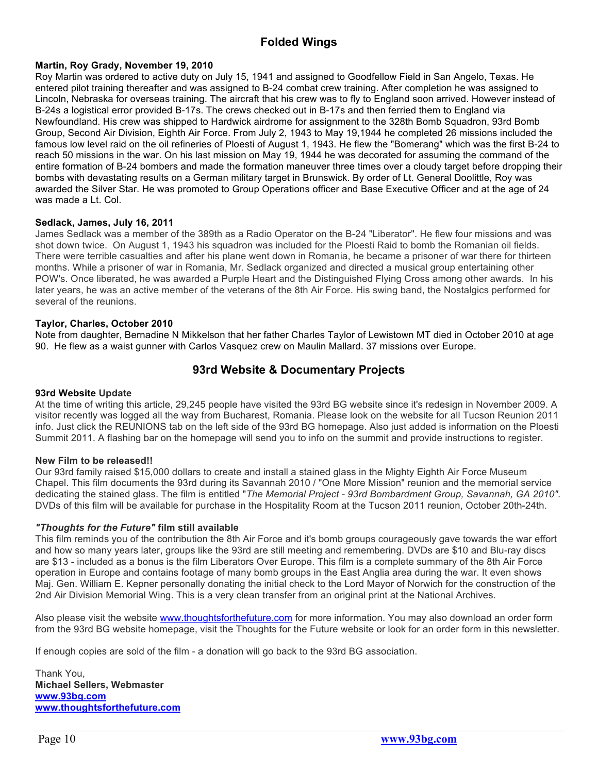## **Folded Wings**

#### **Martin, Roy Grady, November 19, 2010**

Roy Martin was ordered to active duty on July 15, 1941 and assigned to Goodfellow Field in San Angelo, Texas. He entered pilot training thereafter and was assigned to B-24 combat crew training. After completion he was assigned to Lincoln, Nebraska for overseas training. The aircraft that his crew was to fly to England soon arrived. However instead of B-24s a logistical error provided B-17s. The crews checked out in B-17s and then ferried them to England via Newfoundland. His crew was shipped to Hardwick airdrome for assignment to the 328th Bomb Squadron, 93rd Bomb Group, Second Air Division, Eighth Air Force. From July 2, 1943 to May 19,1944 he completed 26 missions included the famous low level raid on the oil refineries of Ploesti of August 1, 1943. He flew the "Bomerang" which was the first B-24 to reach 50 missions in the war. On his last mission on May 19, 1944 he was decorated for assuming the command of the entire formation of B-24 bombers and made the formation maneuver three times over a cloudy target before dropping their bombs with devastating results on a German military target in Brunswick. By order of Lt. General Doolittle, Roy was awarded the Silver Star. He was promoted to Group Operations officer and Base Executive Officer and at the age of 24 was made a Lt. Col.

#### **Sedlack, James, July 16, 2011**

James Sedlack was a member of the 389th as a Radio Operator on the B-24 "Liberator". He flew four missions and was shot down twice. On August 1, 1943 his squadron was included for the Ploesti Raid to bomb the Romanian oil fields. There were terrible casualties and after his plane went down in Romania, he became a prisoner of war there for thirteen months. While a prisoner of war in Romania, Mr. Sedlack organized and directed a musical group entertaining other POW's. Once liberated, he was awarded a Purple Heart and the Distinguished Flying Cross among other awards. In his later years, he was an active member of the veterans of the 8th Air Force. His swing band, the Nostalgics performed for several of the reunions.

#### **Taylor, Charles, October 2010**

Note from daughter, Bernadine N Mikkelson that her father Charles Taylor of Lewistown MT died in October 2010 at age 90. He flew as a waist gunner with Carlos Vasquez crew on Maulin Mallard. 37 missions over Europe.

#### **93rd Website & Documentary Projects**

#### **93rd Website Update**

At the time of writing this article, 29,245 people have visited the 93rd BG website since it's redesign in November 2009. A visitor recently was logged all the way from Bucharest, Romania. Please look on the website for all Tucson Reunion 2011 info. Just click the REUNIONS tab on the left side of the 93rd BG homepage. Also just added is information on the Ploesti Summit 2011. A flashing bar on the homepage will send you to info on the summit and provide instructions to register.

#### **New Film to be released!!**

Our 93rd family raised \$15,000 dollars to create and install a stained glass in the Mighty Eighth Air Force Museum Chapel. This film documents the 93rd during its Savannah 2010 / "One More Mission" reunion and the memorial service dedicating the stained glass. The film is entitled "*The Memorial Project - 93rd Bombardment Group, Savannah, GA 2010"*. DVDs of this film will be available for purchase in the Hospitality Room at the Tucson 2011 reunion, October 20th-24th.

#### *"Thoughts for the Future"* **film still available**

This film reminds you of the contribution the 8th Air Force and it's bomb groups courageously gave towards the war effort and how so many years later, groups like the 93rd are still meeting and remembering. DVDs are \$10 and Blu-ray discs are \$13 - included as a bonus is the film Liberators Over Europe. This film is a complete summary of the 8th Air Force operation in Europe and contains footage of many bomb groups in the East Anglia area during the war. It even shows Maj. Gen. William E. Kepner personally donating the initial check to the Lord Mayor of Norwich for the construction of the 2nd Air Division Memorial Wing. This is a very clean transfer from an original print at the National Archives.

Also please visit the website www.thoughtsforthefuture.com for more information. You may also download an order form from the 93rd BG website homepage, visit the Thoughts for the Future website or look for an order form in this newsletter.

If enough copies are sold of the film - a donation will go back to the 93rd BG association.

Thank You, **Michael Sellers, Webmaster www.93bg.com www.thoughtsforthefuture.com**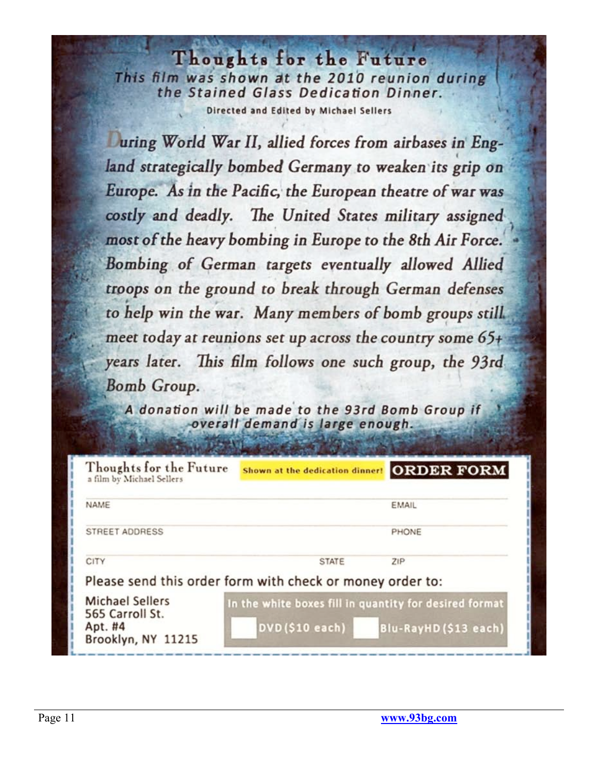Thoughts for the Future This film was shown at the 2010 reunion during the Stained Glass Dedication Dinner. Directed and Edited by Michael Sellers

Juring World War II, allied forces from airbases in England strategically bombed Germany to weaken its grip on Europe. As in the Pacific, the European theatre of war was costly and deadly. The United States military assigned most of the heavy bombing in Europe to the 8th Air Force. Bombing of German targets eventually allowed Allied troops on the ground to break through German defenses to help win the war. Many members of bomb groups still. meet today at reunions set up across the country some  $65+$ years later. This film follows one such group, the 93rd **Bomb Group.** 

A donation will be made to the 93rd Bomb Group if overall demand is large enough.

| Thoughts for the Future<br>a film by Michael Sellers                       | Shown at the dedication dinner!                                          | <b>ORDER FORM</b>    |
|----------------------------------------------------------------------------|--------------------------------------------------------------------------|----------------------|
| NAME                                                                       |                                                                          | EMAIL                |
| STREET ADDRESS                                                             |                                                                          | PHONE                |
| <b>CITY</b>                                                                | <b>STATE</b>                                                             | ZIP                  |
|                                                                            | Please send this order form with check or money order to:                |                      |
| <b>Michael Sellers</b><br>565 Carroll St.<br>Apt. #4<br>Brooklyn, NY 11215 | In the white boxes fill in quantity for desired format<br>DVD(\$10 each) | Blu-RayHD(\$13 each) |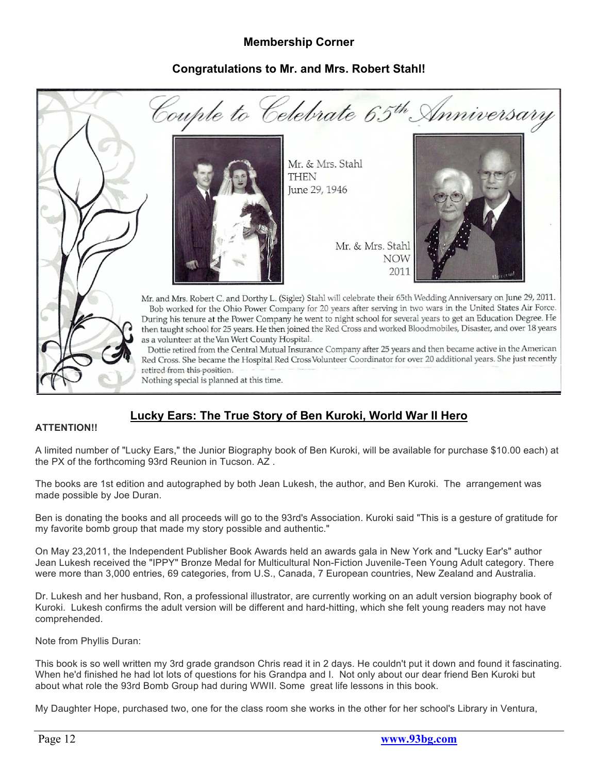## **Membership Corner**

## **Congratulations to Mr. and Mrs. Robert Stahl!**



## **Lucky Ears: The True Story of Ben Kuroki, World War II Hero**

#### **ATTENTION!!**

A limited number of "Lucky Ears," the Junior Biography book of Ben Kuroki, will be available for purchase \$10.00 each) at the PX of the forthcoming 93rd Reunion in Tucson. AZ .

The books are 1st edition and autographed by both Jean Lukesh, the author, and Ben Kuroki. The arrangement was made possible by Joe Duran.

Ben is donating the books and all proceeds will go to the 93rd's Association. Kuroki said "This is a gesture of gratitude for my favorite bomb group that made my story possible and authentic."

On May 23,2011, the Independent Publisher Book Awards held an awards gala in New York and "Lucky Ear's" author Jean Lukesh received the "IPPY" Bronze Medal for Multicultural Non-Fiction Juvenile-Teen Young Adult category. There were more than 3,000 entries, 69 categories, from U.S., Canada, 7 European countries, New Zealand and Australia.

Dr. Lukesh and her husband, Ron, a professional illustrator, are currently working on an adult version biography book of Kuroki. Lukesh confirms the adult version will be different and hard-hitting, which she felt young readers may not have comprehended.

Note from Phyllis Duran:

This book is so well written my 3rd grade grandson Chris read it in 2 days. He couldn't put it down and found it fascinating. When he'd finished he had lot lots of questions for his Grandpa and I. Not only about our dear friend Ben Kuroki but about what role the 93rd Bomb Group had during WWII. Some great life lessons in this book.

My Daughter Hope, purchased two, one for the class room she works in the other for her school's Library in Ventura,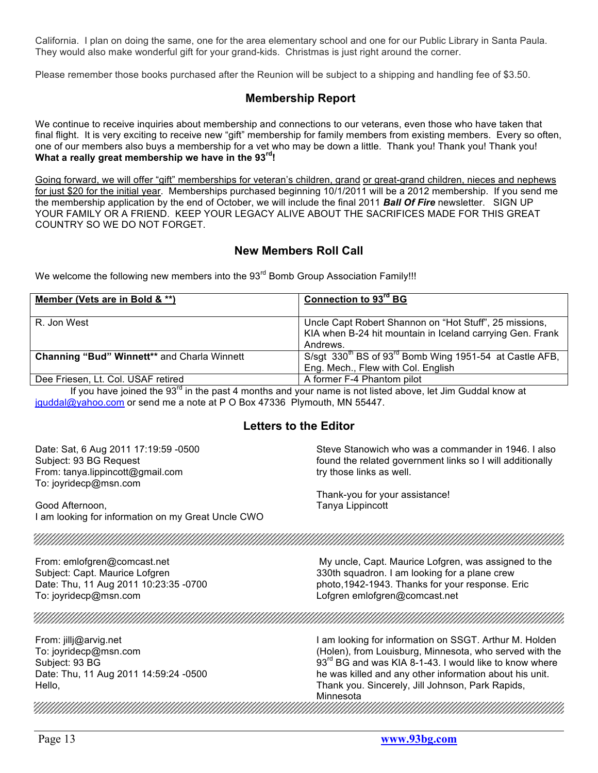California. I plan on doing the same, one for the area elementary school and one for our Public Library in Santa Paula. They would also make wonderful gift for your grand-kids. Christmas is just right around the corner.

Please remember those books purchased after the Reunion will be subject to a shipping and handling fee of \$3.50.

## **Membership Report**

We continue to receive inquiries about membership and connections to our veterans, even those who have taken that final flight. It is very exciting to receive new "gift" membership for family members from existing members. Every so often, one of our members also buys a membership for a vet who may be down a little. Thank you! Thank you! Thank you! **What a really great membership we have in the 93rd!**

Going forward, we will offer "gift" memberships for veteran's children, grand or great-grand children, nieces and nephews for just \$20 for the initial year. Memberships purchased beginning 10/1/2011 will be a 2012 membership. If you send me the membership application by the end of October, we will include the final 2011 *Ball Of Fire* newsletter. SIGN UP YOUR FAMILY OR A FRIEND. KEEP YOUR LEGACY ALIVE ABOUT THE SACRIFICES MADE FOR THIS GREAT COUNTRY SO WE DO NOT FORGET.

#### **New Members Roll Call**

We welcome the following new members into the 93<sup>rd</sup> Bomb Group Association Family!!!

| Member (Vets are in Bold & **)                                                                                                                        | Connection to 93 <sup>rd</sup> BG                                                                                               |
|-------------------------------------------------------------------------------------------------------------------------------------------------------|---------------------------------------------------------------------------------------------------------------------------------|
| R. Jon West                                                                                                                                           | Uncle Capt Robert Shannon on "Hot Stuff", 25 missions,<br>KIA when B-24 hit mountain in Iceland carrying Gen. Frank<br>Andrews. |
| <b>Channing "Bud" Winnett** and Charla Winnett</b>                                                                                                    | S/sgt $330^{th}$ BS of $93^{rd}$ Bomb Wing 1951-54 at Castle AFB,<br>Eng. Mech., Flew with Col. English                         |
| Dee Friesen, Lt. Col. USAF retired<br>the contract of the contract of the contract of the contract of the contract of the contract of the contract of | A former F-4 Phantom pilot                                                                                                      |

If you have joined the  $93^{\text{rd}}$  in the past 4 months and your name is not listed above, let Jim Guddal know at jguddal@yahoo.com or send me a note at P O Box 47336 Plymouth, MN 55447.

## **Letters to the Editor**

Date: Sat, 6 Aug 2011 17:19:59 -0500 Steve Stanowich who was a commander in 1946. I also Subject: 93 BG Request found the related government links so I will additionally From: tanya.lippincott@gmail.com try those links as well. To: joyridecp@msn.com Thank-you for your assistance! Good Afternoon, Tanya Lippincott I am looking for information on my Great Uncle CWO From: emlofgren@comcast.net My uncle, Capt. Maurice Lofgren, was assigned to the Subject: Capt. Maurice Lofgren 330th squadron. I am looking for a plane crew Date: Thu, 11 Aug 2011 10:23:35 -0700 photo,1942-1943. Thanks for your response. Eric To: joyridecp@msn.com Lofgren emlofgren@comcast.net I am looking for information on SSGT. Arthur M. Holden From: jillj@arvig.net (Holen), from Louisburg, Minnesota, who served with the To: joyridecp@msn.com  $93<sup>rd</sup>$  BG and was KIA 8-1-43. I would like to know where Subject: 93 BG Date: Thu, 11 Aug 2011 14:59:24 -0500 he was killed and any other information about his unit. Thank you. Sincerely, Jill Johnson, Park Rapids, Hello, Minnesota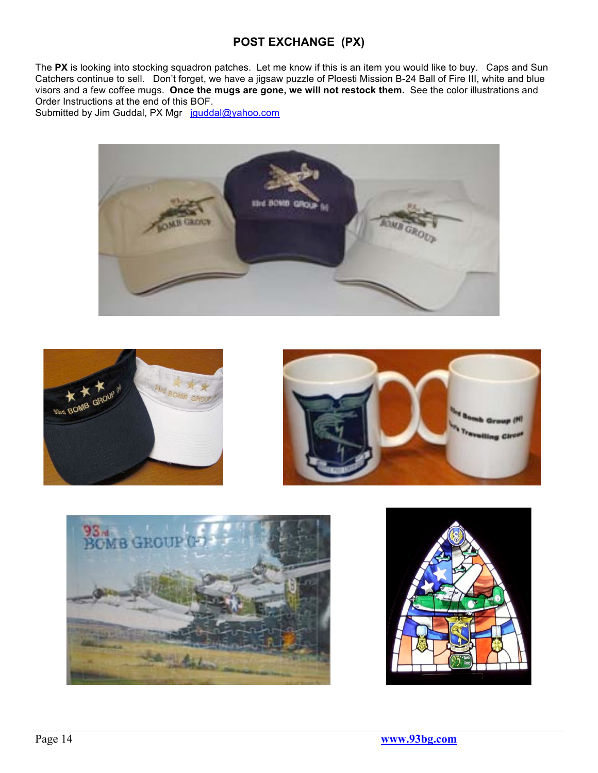## **POST EXCHANGE (PX)**

The **PX** is looking into stocking squadron patches. Let me know if this is an item you would like to buy. Caps and Sun Catchers continue to sell. Don't forget, we have a jigsaw puzzle of Ploesti Mission B-24 Ball of Fire III, white and blue visors and a few coffee mugs. **Once the mugs are gone, we will not restock them.** See the color illustrations and Order Instructions at the end of this BOF.

Submitted by Jim Guddal, PX Mgr jquddal@yahoo.com









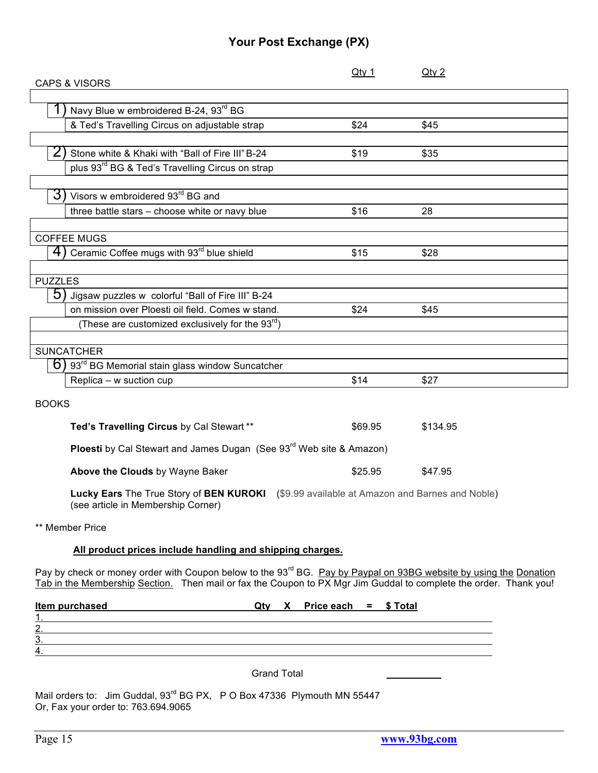## **Your Post Exchange (PX)**

| $Q$ ty 1                                                                        | $Q$ ty 2                                                                                                                                                                                                                                           |
|---------------------------------------------------------------------------------|----------------------------------------------------------------------------------------------------------------------------------------------------------------------------------------------------------------------------------------------------|
|                                                                                 |                                                                                                                                                                                                                                                    |
|                                                                                 |                                                                                                                                                                                                                                                    |
|                                                                                 |                                                                                                                                                                                                                                                    |
|                                                                                 | \$45                                                                                                                                                                                                                                               |
|                                                                                 | \$35                                                                                                                                                                                                                                               |
|                                                                                 |                                                                                                                                                                                                                                                    |
|                                                                                 |                                                                                                                                                                                                                                                    |
|                                                                                 |                                                                                                                                                                                                                                                    |
| \$16                                                                            | 28                                                                                                                                                                                                                                                 |
|                                                                                 |                                                                                                                                                                                                                                                    |
|                                                                                 |                                                                                                                                                                                                                                                    |
| \$15                                                                            | \$28                                                                                                                                                                                                                                               |
|                                                                                 |                                                                                                                                                                                                                                                    |
|                                                                                 |                                                                                                                                                                                                                                                    |
|                                                                                 |                                                                                                                                                                                                                                                    |
| \$24                                                                            | \$45                                                                                                                                                                                                                                               |
|                                                                                 |                                                                                                                                                                                                                                                    |
|                                                                                 |                                                                                                                                                                                                                                                    |
|                                                                                 |                                                                                                                                                                                                                                                    |
|                                                                                 |                                                                                                                                                                                                                                                    |
|                                                                                 | \$27                                                                                                                                                                                                                                               |
|                                                                                 |                                                                                                                                                                                                                                                    |
| \$69.95                                                                         | \$134.95                                                                                                                                                                                                                                           |
| Ploesti by Cal Stewart and James Dugan (See 93 <sup>rd</sup> Web site & Amazon) |                                                                                                                                                                                                                                                    |
| \$25.95                                                                         | \$47.95                                                                                                                                                                                                                                            |
|                                                                                 | Lucky Ears The True Story of BEN KUROKI (\$9.99 available at Amazon and Barnes and Noble)                                                                                                                                                          |
|                                                                                 |                                                                                                                                                                                                                                                    |
| All product prices include handling and shipping charges.                       |                                                                                                                                                                                                                                                    |
|                                                                                 | Pay by check or money order with Coupon below to the 93 <sup>rd</sup> BG. Pay by Paypal on 93BG website by using the Donation<br>Tab in the Membership Section. Then mail or fax the Coupon to PX Mgr Jim Guddal to complete the order. Thank you! |
| $Qtv$ X Price each = \$ Total                                                   |                                                                                                                                                                                                                                                    |
|                                                                                 |                                                                                                                                                                                                                                                    |
|                                                                                 |                                                                                                                                                                                                                                                    |
|                                                                                 | \$24<br>\$19<br>\$14                                                                                                                                                                                                                               |

Grand Total \_\_\_\_\_\_\_\_\_\_

Mail orders to: Jim Guddal, 93<sup>rd</sup> BG PX, P O Box 47336 Plymouth MN 55447 Or, Fax your order to: 763.694.9065

4.